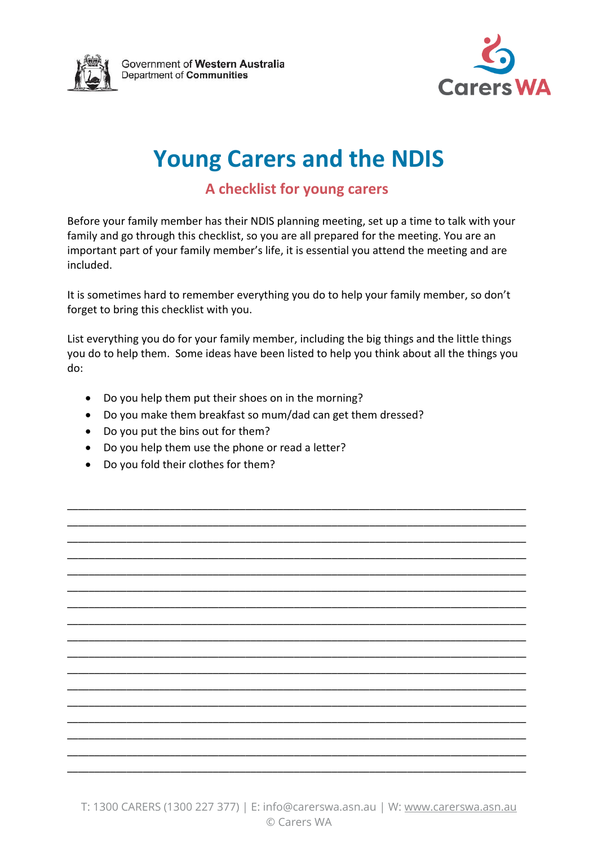



# **Young Carers and the NDIS**

#### **A checklist for young carers**

Before your family member has their NDIS planning meeting, set up a time to talk with your family and go through this checklist, so you are all prepared for the meeting. You are an important part of your family member's life, it is essential you attend the meeting and are included.

It is sometimes hard to remember everything you do to help your family member, so don't forget to bring this checklist with you.

List everything you do for your family member, including the big things and the little things you do to help them. Some ideas have been listed to help you think about all the things you do:

\_\_\_\_\_\_\_\_\_\_\_\_\_\_\_\_\_\_\_\_\_\_\_\_\_\_\_\_\_\_\_\_\_\_\_\_\_\_\_\_\_\_\_\_\_\_\_\_\_\_\_\_\_\_\_\_\_\_\_\_\_\_\_\_\_\_\_\_\_\_\_\_\_\_\_\_\_\_\_\_\_\_\_\_\_ \_\_\_\_\_\_\_\_\_\_\_\_\_\_\_\_\_\_\_\_\_\_\_\_\_\_\_\_\_\_\_\_\_\_\_\_\_\_\_\_\_\_\_\_\_\_\_\_\_\_\_\_\_\_\_\_\_\_\_\_\_\_\_\_\_\_\_\_\_\_\_\_\_\_\_\_\_\_\_\_\_\_\_\_\_ \_\_\_\_\_\_\_\_\_\_\_\_\_\_\_\_\_\_\_\_\_\_\_\_\_\_\_\_\_\_\_\_\_\_\_\_\_\_\_\_\_\_\_\_\_\_\_\_\_\_\_\_\_\_\_\_\_\_\_\_\_\_\_\_\_\_\_\_\_\_\_\_\_\_\_\_\_\_\_\_\_\_\_\_\_ \_\_\_\_\_\_\_\_\_\_\_\_\_\_\_\_\_\_\_\_\_\_\_\_\_\_\_\_\_\_\_\_\_\_\_\_\_\_\_\_\_\_\_\_\_\_\_\_\_\_\_\_\_\_\_\_\_\_\_\_\_\_\_\_\_\_\_\_\_\_\_\_\_\_\_\_\_\_\_\_\_\_\_\_\_ \_\_\_\_\_\_\_\_\_\_\_\_\_\_\_\_\_\_\_\_\_\_\_\_\_\_\_\_\_\_\_\_\_\_\_\_\_\_\_\_\_\_\_\_\_\_\_\_\_\_\_\_\_\_\_\_\_\_\_\_\_\_\_\_\_\_\_\_\_\_\_\_\_\_\_\_\_\_\_\_\_\_\_\_\_ \_\_\_\_\_\_\_\_\_\_\_\_\_\_\_\_\_\_\_\_\_\_\_\_\_\_\_\_\_\_\_\_\_\_\_\_\_\_\_\_\_\_\_\_\_\_\_\_\_\_\_\_\_\_\_\_\_\_\_\_\_\_\_\_\_\_\_\_\_\_\_\_\_\_\_\_\_\_\_\_\_\_\_\_\_ \_\_\_\_\_\_\_\_\_\_\_\_\_\_\_\_\_\_\_\_\_\_\_\_\_\_\_\_\_\_\_\_\_\_\_\_\_\_\_\_\_\_\_\_\_\_\_\_\_\_\_\_\_\_\_\_\_\_\_\_\_\_\_\_\_\_\_\_\_\_\_\_\_\_\_\_\_\_\_\_\_\_\_\_\_ \_\_\_\_\_\_\_\_\_\_\_\_\_\_\_\_\_\_\_\_\_\_\_\_\_\_\_\_\_\_\_\_\_\_\_\_\_\_\_\_\_\_\_\_\_\_\_\_\_\_\_\_\_\_\_\_\_\_\_\_\_\_\_\_\_\_\_\_\_\_\_\_\_\_\_\_\_\_\_\_\_\_\_\_\_ \_\_\_\_\_\_\_\_\_\_\_\_\_\_\_\_\_\_\_\_\_\_\_\_\_\_\_\_\_\_\_\_\_\_\_\_\_\_\_\_\_\_\_\_\_\_\_\_\_\_\_\_\_\_\_\_\_\_\_\_\_\_\_\_\_\_\_\_\_\_\_\_\_\_\_\_\_\_\_\_\_\_\_\_\_ \_\_\_\_\_\_\_\_\_\_\_\_\_\_\_\_\_\_\_\_\_\_\_\_\_\_\_\_\_\_\_\_\_\_\_\_\_\_\_\_\_\_\_\_\_\_\_\_\_\_\_\_\_\_\_\_\_\_\_\_\_\_\_\_\_\_\_\_\_\_\_\_\_\_\_\_\_\_\_\_\_\_\_\_\_ \_\_\_\_\_\_\_\_\_\_\_\_\_\_\_\_\_\_\_\_\_\_\_\_\_\_\_\_\_\_\_\_\_\_\_\_\_\_\_\_\_\_\_\_\_\_\_\_\_\_\_\_\_\_\_\_\_\_\_\_\_\_\_\_\_\_\_\_\_\_\_\_\_\_\_\_\_\_\_\_\_\_\_\_\_ \_\_\_\_\_\_\_\_\_\_\_\_\_\_\_\_\_\_\_\_\_\_\_\_\_\_\_\_\_\_\_\_\_\_\_\_\_\_\_\_\_\_\_\_\_\_\_\_\_\_\_\_\_\_\_\_\_\_\_\_\_\_\_\_\_\_\_\_\_\_\_\_\_\_\_\_\_\_\_\_\_\_\_\_\_ \_\_\_\_\_\_\_\_\_\_\_\_\_\_\_\_\_\_\_\_\_\_\_\_\_\_\_\_\_\_\_\_\_\_\_\_\_\_\_\_\_\_\_\_\_\_\_\_\_\_\_\_\_\_\_\_\_\_\_\_\_\_\_\_\_\_\_\_\_\_\_\_\_\_\_\_\_\_\_\_\_\_\_\_\_ \_\_\_\_\_\_\_\_\_\_\_\_\_\_\_\_\_\_\_\_\_\_\_\_\_\_\_\_\_\_\_\_\_\_\_\_\_\_\_\_\_\_\_\_\_\_\_\_\_\_\_\_\_\_\_\_\_\_\_\_\_\_\_\_\_\_\_\_\_\_\_\_\_\_\_\_\_\_\_\_\_\_\_\_\_ \_\_\_\_\_\_\_\_\_\_\_\_\_\_\_\_\_\_\_\_\_\_\_\_\_\_\_\_\_\_\_\_\_\_\_\_\_\_\_\_\_\_\_\_\_\_\_\_\_\_\_\_\_\_\_\_\_\_\_\_\_\_\_\_\_\_\_\_\_\_\_\_\_\_\_\_\_\_\_\_\_\_\_\_\_ \_\_\_\_\_\_\_\_\_\_\_\_\_\_\_\_\_\_\_\_\_\_\_\_\_\_\_\_\_\_\_\_\_\_\_\_\_\_\_\_\_\_\_\_\_\_\_\_\_\_\_\_\_\_\_\_\_\_\_\_\_\_\_\_\_\_\_\_\_\_\_\_\_\_\_\_\_\_\_\_\_\_\_\_\_ \_\_\_\_\_\_\_\_\_\_\_\_\_\_\_\_\_\_\_\_\_\_\_\_\_\_\_\_\_\_\_\_\_\_\_\_\_\_\_\_\_\_\_\_\_\_\_\_\_\_\_\_\_\_\_\_\_\_\_\_\_\_\_\_\_\_\_\_\_\_\_\_\_\_\_\_\_\_\_\_\_\_\_\_\_

- Do you help them put their shoes on in the morning?
- Do you make them breakfast so mum/dad can get them dressed?
- Do you put the bins out for them?
- Do you help them use the phone or read a letter?
- Do you fold their clothes for them?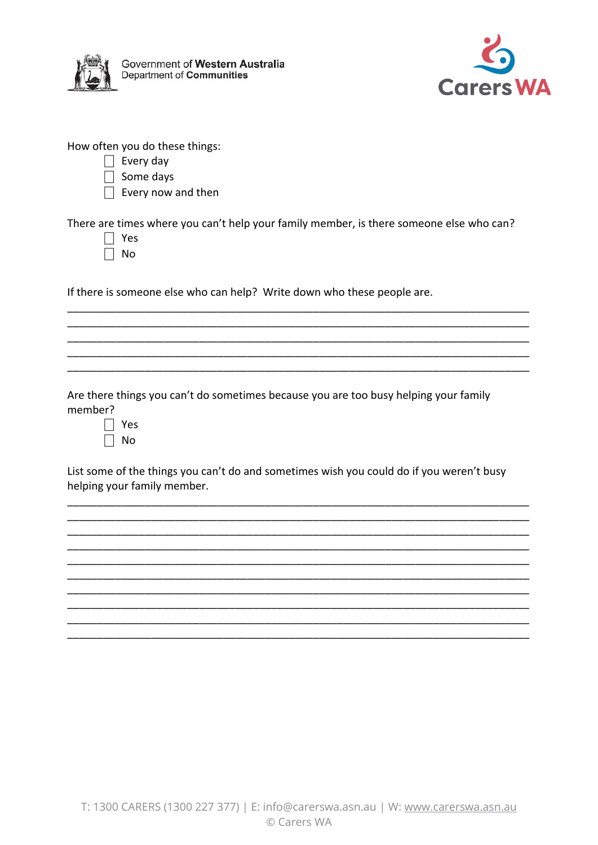

Government of Western Australia Department of Communities



How often you do these things:

- $\Box$  Every day
- $\Box$  Some days
- $\Box$  Every now and then

There are times where you can't help your family member, is there someone else who can?

- $\Box$  Yes
- $\Box$  No

If there is someone else who can help? Write down who these people are.

Are there things you can't do sometimes because you are too busy helping your family member?

| ρς<br>Y |
|---------|
| Nn      |

List some of the things you can't do and sometimes wish you could do if you weren't busy helping your family member.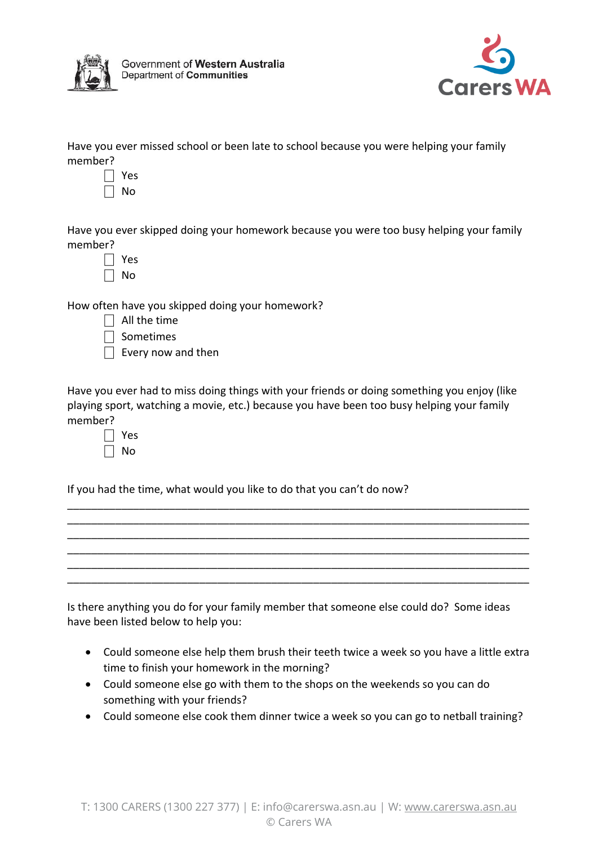



Have you ever missed school or been late to school because you were helping your family member?

- ⎕ Yes
- $\Box$  No

Have you ever skipped doing your homework because you were too busy helping your family member?

| c<br>- |
|--------|
| J<br>ר |

How often have you skipped doing your homework?

|  |  |  | $\Box$ All the time |
|--|--|--|---------------------|
|--|--|--|---------------------|

- $\Box$  Sometimes
- $\Box$  Every now and then

Have you ever had to miss doing things with your friends or doing something you enjoy (like playing sport, watching a movie, etc.) because you have been too busy helping your family member?

\_\_\_\_\_\_\_\_\_\_\_\_\_\_\_\_\_\_\_\_\_\_\_\_\_\_\_\_\_\_\_\_\_\_\_\_\_\_\_\_\_\_\_\_\_\_\_\_\_\_\_\_\_\_\_\_\_\_\_\_\_\_\_\_\_\_\_\_\_\_\_\_\_\_\_\_\_ \_\_\_\_\_\_\_\_\_\_\_\_\_\_\_\_\_\_\_\_\_\_\_\_\_\_\_\_\_\_\_\_\_\_\_\_\_\_\_\_\_\_\_\_\_\_\_\_\_\_\_\_\_\_\_\_\_\_\_\_\_\_\_\_\_\_\_\_\_\_\_\_\_\_\_\_\_ \_\_\_\_\_\_\_\_\_\_\_\_\_\_\_\_\_\_\_\_\_\_\_\_\_\_\_\_\_\_\_\_\_\_\_\_\_\_\_\_\_\_\_\_\_\_\_\_\_\_\_\_\_\_\_\_\_\_\_\_\_\_\_\_\_\_\_\_\_\_\_\_\_\_\_\_\_ \_\_\_\_\_\_\_\_\_\_\_\_\_\_\_\_\_\_\_\_\_\_\_\_\_\_\_\_\_\_\_\_\_\_\_\_\_\_\_\_\_\_\_\_\_\_\_\_\_\_\_\_\_\_\_\_\_\_\_\_\_\_\_\_\_\_\_\_\_\_\_\_\_\_\_\_\_ \_\_\_\_\_\_\_\_\_\_\_\_\_\_\_\_\_\_\_\_\_\_\_\_\_\_\_\_\_\_\_\_\_\_\_\_\_\_\_\_\_\_\_\_\_\_\_\_\_\_\_\_\_\_\_\_\_\_\_\_\_\_\_\_\_\_\_\_\_\_\_\_\_\_\_\_\_ \_\_\_\_\_\_\_\_\_\_\_\_\_\_\_\_\_\_\_\_\_\_\_\_\_\_\_\_\_\_\_\_\_\_\_\_\_\_\_\_\_\_\_\_\_\_\_\_\_\_\_\_\_\_\_\_\_\_\_\_\_\_\_\_\_\_\_\_\_\_\_\_\_\_\_\_\_

| ς<br>v.<br>− |
|--------------|
| Ñ<br>n       |

If you had the time, what would you like to do that you can't do now?

Is there anything you do for your family member that someone else could do? Some ideas have been listed below to help you:

- Could someone else help them brush their teeth twice a week so you have a little extra time to finish your homework in the morning?
- Could someone else go with them to the shops on the weekends so you can do something with your friends?
- Could someone else cook them dinner twice a week so you can go to netball training?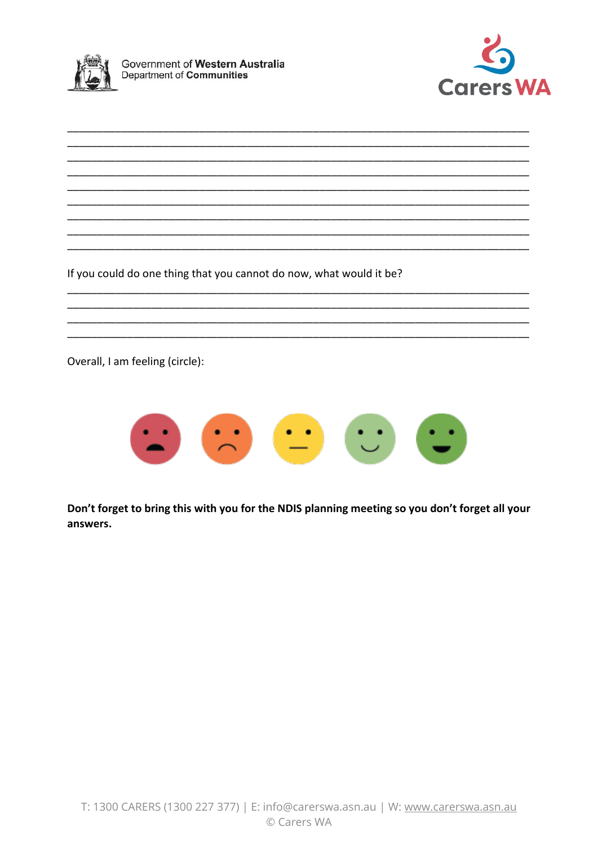



If you could do one thing that you cannot do now, what would it be?

Overall, I am feeling (circle):



Don't forget to bring this with you for the NDIS planning meeting so you don't forget all your answers.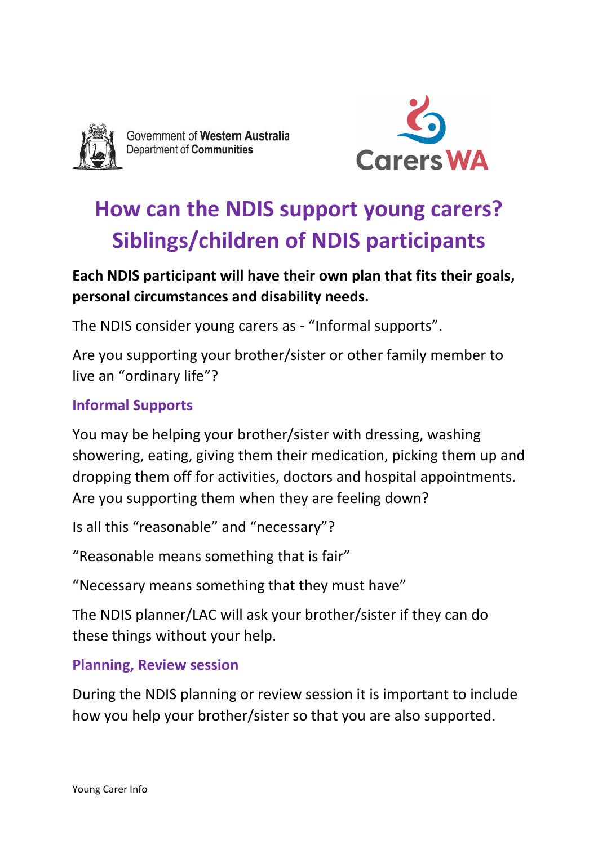

Government of Western Australia Department of Communities



# **How can the NDIS support young carers? Siblings/children of NDIS participants**

## **Each NDIS participant will have their own plan that fits their goals, personal circumstances and disability needs.**

The NDIS consider young carers as - "Informal supports".

Are you supporting your brother/sister or other family member to live an "ordinary life"?

### **Informal Supports**

You may be helping your brother/sister with dressing, washing showering, eating, giving them their medication, picking them up and dropping them off for activities, doctors and hospital appointments. Are you supporting them when they are feeling down?

Is all this "reasonable" and "necessary"?

"Reasonable means something that is fair"

"Necessary means something that they must have"

The NDIS planner/LAC will ask your brother/sister if they can do these things without your help.

### **Planning, Review session**

During the NDIS planning or review session it is important to include how you help your brother/sister so that you are also supported.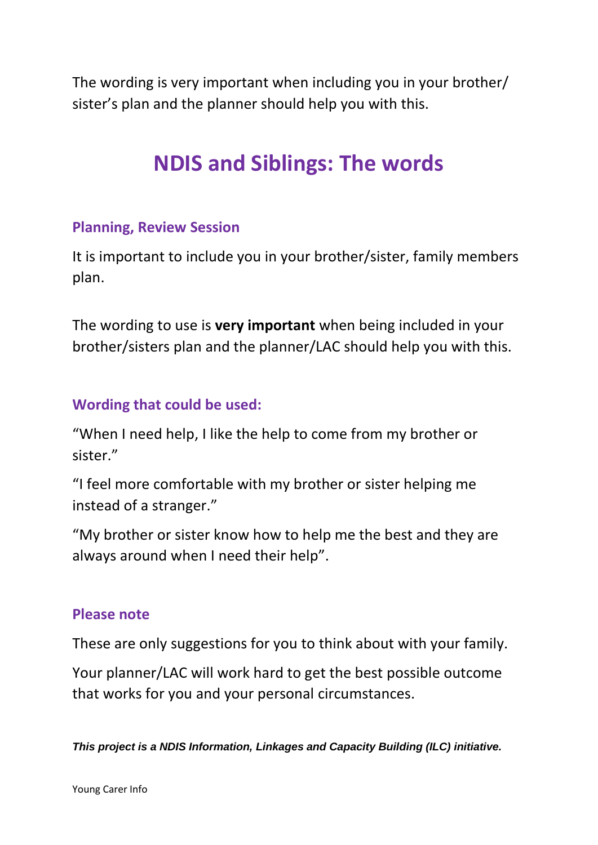The wording is very important when including you in your brother/ sister's plan and the planner should help you with this.

# **NDIS and Siblings: The words**

#### **Planning, Review Session**

It is important to include you in your brother/sister, family members plan.

The wording to use is **very important** when being included in your brother/sisters plan and the planner/LAC should help you with this.

#### **Wording that could be used:**

"When I need help, I like the help to come from my brother or sister."

"I feel more comfortable with my brother or sister helping me instead of a stranger."

"My brother or sister know how to help me the best and they are always around when I need their help".

#### **Please note**

These are only suggestions for you to think about with your family.

Your planner/LAC will work hard to get the best possible outcome that works for you and your personal circumstances.

*This project is a NDIS Information, Linkages and Capacity Building (ILC) initiative.*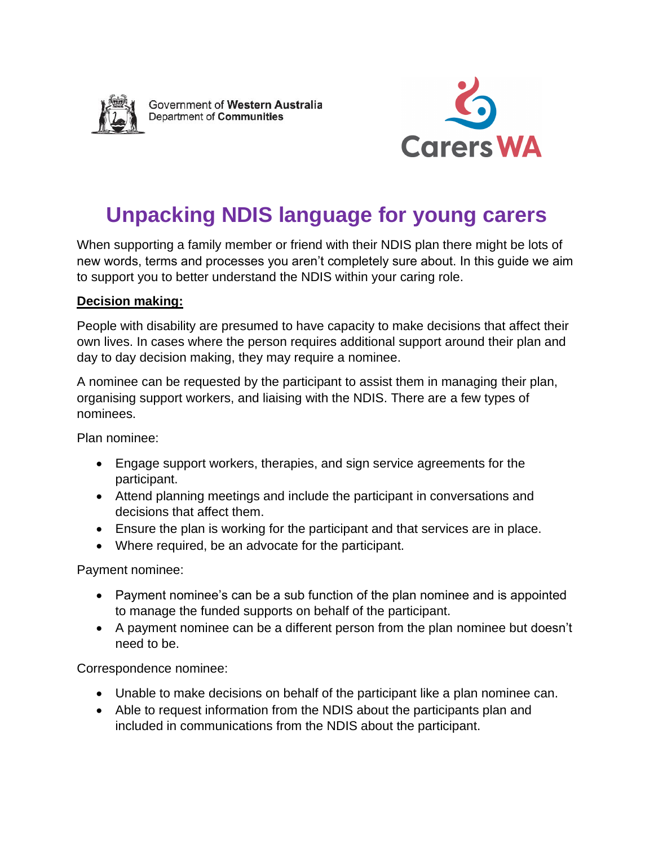

Government of Western Australia Department of Communities



## **Unpacking NDIS language for young carers**

When supporting a family member or friend with their NDIS plan there might be lots of new words, terms and processes you aren't completely sure about. In this guide we aim to support you to better understand the NDIS within your caring role.

#### **Decision making:**

People with disability are presumed to have capacity to make decisions that affect their own lives. In cases where the person requires additional support around their plan and day to day decision making, they may require a nominee.

A nominee can be requested by the participant to assist them in managing their plan, organising support workers, and liaising with the NDIS. There are a few types of nominees.

Plan nominee:

- Engage support workers, therapies, and sign service agreements for the participant.
- Attend planning meetings and include the participant in conversations and decisions that affect them.
- Ensure the plan is working for the participant and that services are in place.
- Where required, be an advocate for the participant.

Payment nominee:

- Payment nominee's can be a sub function of the plan nominee and is appointed to manage the funded supports on behalf of the participant.
- A payment nominee can be a different person from the plan nominee but doesn't need to be.

Correspondence nominee:

- Unable to make decisions on behalf of the participant like a plan nominee can.
- Able to request information from the NDIS about the participants plan and included in communications from the NDIS about the participant.